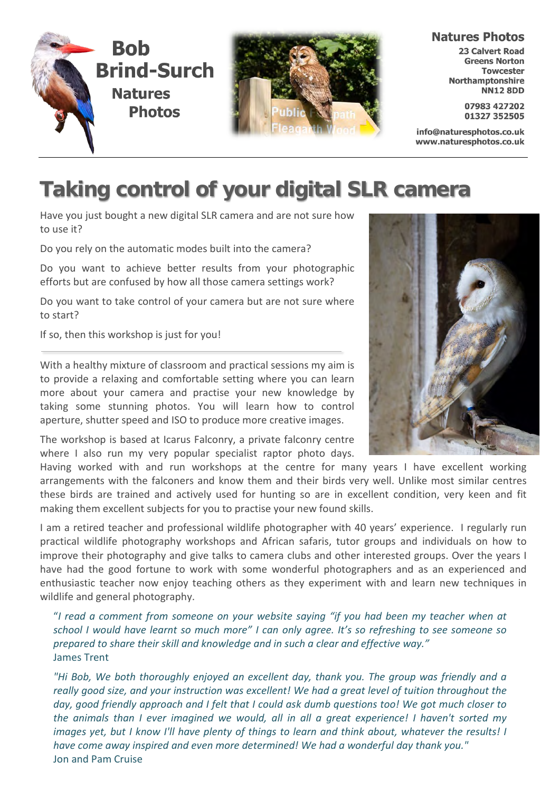



#### **Natures Photos**

**23 Calvert Road Greens Norton Towcester** Northamptonshire **NN12 8DD** 

> 07983 427202 01327 352505

info@naturesphotos.co.uk www.naturesphotos.co.uk

# **Taking control of your digital SLR camera**

Have you just bought a new digital SLR camera and are not sure how to use it?

Do you rely on the automatic modes built into the camera?

Do you want to achieve better results from your photographic efforts but are confused by how all those camera settings work?

Do you want to take control of your camera but are not sure where to start?

If so, then this workshop is just for you!

With a healthy mixture of classroom and practical sessions my aim is to provide a relaxing and comfortable setting where you can learn more about your camera and practise your new knowledge by taking some stunning photos. You will learn how to control aperture, shutter speed and ISO to produce more creative images.

The workshop is based at Icarus Falconry, a private falconry centre where I also run my very popular specialist raptor photo days.

Having worked with and run workshops at the centre for many years I have excellent working arrangements with the falconers and know them and their birds very well. Unlike most similar centres these birds are trained and actively used for hunting so are in excellent condition, very keen and fit making them excellent subjects for you to practise your new found skills.

I am a retired teacher and professional wildlife photographer with 40 years' experience. I regularly run practical wildlife photography workshops and African safaris, tutor groups and individuals on how to improve their photography and give talks to camera clubs and other interested groups. Over the years I have had the good fortune to work with some wonderful photographers and as an experienced and enthusiastic teacher now enjoy teaching others as they experiment with and learn new techniques in wildlife and general photography.

"*I read a comment from someone on your website saying "if you had been my teacher when at school I would have learnt so much more" I can only agree. It's so refreshing to see someone so prepared to share their skill and knowledge and in such a clear and effective way."* James Trent

*"Hi Bob, We both thoroughly enjoyed an excellent day, thank you. The group was friendly and a really good size, and your instruction was excellent! We had a great level of tuition throughout the day, good friendly approach and I felt that I could ask dumb questions too! We got much closer to the animals than I ever imagined we would, all in all a great experience! I haven't sorted my images yet, but I know I'll have plenty of things to learn and think about, whatever the results! I have come away inspired and even more determined! We had a wonderful day thank you."* Jon and Pam Cruise

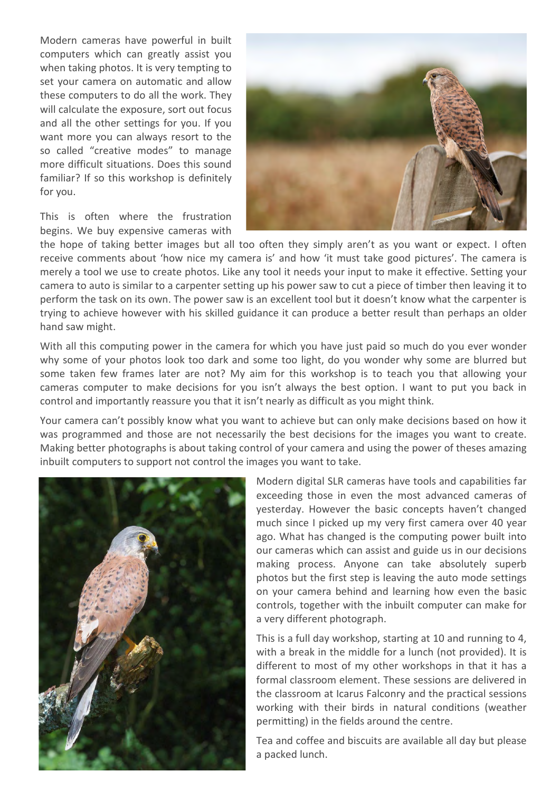Modern cameras have powerful in built computers which can greatly assist you when taking photos. It is very tempting to set your camera on automatic and allow these computers to do all the work. They will calculate the exposure, sort out focus and all the other settings for you. If you want more you can always resort to the so called "creative modes" to manage more difficult situations. Does this sound familiar? If so this workshop is definitely for you.

This is often where the frustration begins. We buy expensive cameras with



the hope of taking better images but all too often they simply aren't as you want or expect. I often receive comments about 'how nice my camera is' and how 'it must take good pictures'. The camera is merely a tool we use to create photos. Like any tool it needs your input to make it effective. Setting your camera to auto is similar to a carpenter setting up his power saw to cut a piece of timber then leaving it to perform the task on its own. The power saw is an excellent tool but it doesn't know what the carpenter is trying to achieve however with his skilled guidance it can produce a better result than perhaps an older hand saw might.

With all this computing power in the camera for which you have just paid so much do you ever wonder why some of your photos look too dark and some too light, do you wonder why some are blurred but some taken few frames later are not? My aim for this workshop is to teach you that allowing your cameras computer to make decisions for you isn't always the best option. I want to put you back in control and importantly reassure you that it isn't nearly as difficult as you might think.

Your camera can't possibly know what you want to achieve but can only make decisions based on how it was programmed and those are not necessarily the best decisions for the images you want to create. Making better photographs is about taking control of your camera and using the power of theses amazing inbuilt computers to support not control the images you want to take.



Modern digital SLR cameras have tools and capabilities far exceeding those in even the most advanced cameras of yesterday. However the basic concepts haven't changed much since I picked up my very first camera over 40 year ago. What has changed is the computing power built into our cameras which can assist and guide us in our decisions making process. Anyone can take absolutely superb photos but the first step is leaving the auto mode settings on your camera behind and learning how even the basic controls, together with the inbuilt computer can make for a very different photograph.

This is a full day workshop, starting at 10 and running to 4, with a break in the middle for a lunch (not provided). It is different to most of my other workshops in that it has a formal classroom element. These sessions are delivered in the classroom at Icarus Falconry and the practical sessions working with their birds in natural conditions (weather permitting) in the fields around the centre.

Tea and coffee and biscuits are available all day but please a packed lunch.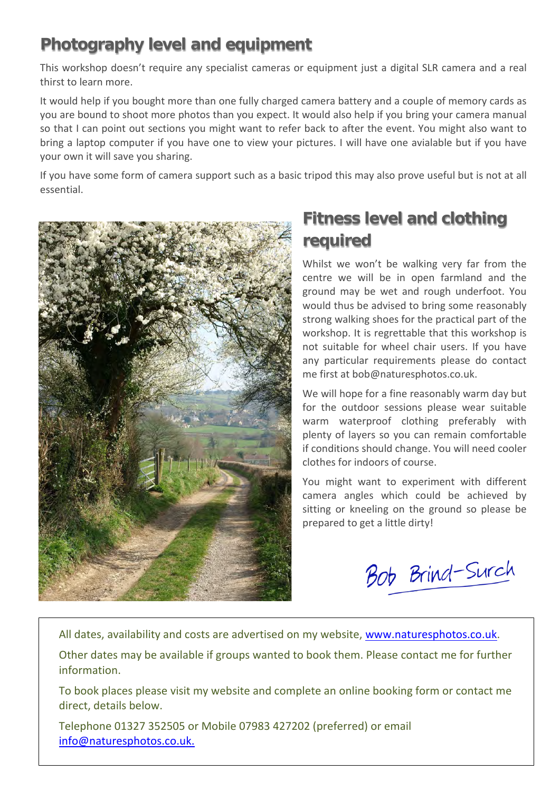### **Photography level and equipment**

This workshop doesn't require any specialist cameras or equipment just a digital SLR camera and a real thirst to learn more.

It would help if you bought more than one fully charged camera battery and a couple of memory cards as you are bound to shoot more photos than you expect. It would also help if you bring your camera manual so that I can point out sections you might want to refer back to after the event. You might also want to bring a laptop computer if you have one to view your pictures. I will have one avialable but if you have your own it will save you sharing.

If you have some form of camera support such as a basic tripod this may also prove useful but is not at all essential.



## **Fitness level and clothing required**

Whilst we won't be walking very far from the centre we will be in open farmland and the ground may be wet and rough underfoot. You would thus be advised to bring some reasonably strong walking shoes for the practical part of the workshop. It is regrettable that this workshop is not suitable for wheel chair users. If you have any particular requirements please do contact me first at bob@naturesphotos.co.uk.

We will hope for a fine reasonably warm day but for the outdoor sessions please wear suitable warm waterproof clothing preferably with plenty of layers so you can remain comfortable if conditions should change. You will need cooler clothes for indoors of course.

You might want to experiment with different camera angles which could be achieved by sitting or kneeling on the ground so please be prepared to get a little dirty!

Bob Brind-Surch

All dates, availability and costs are advertised on my website, [www.naturesphotos.co.uk.](http://www.naturesphotos.co.uk/)

Other dates may be available if groups wanted to book them. Please contact me for further information.

To book places please visit my website and complete an online booking form or contact me direct, details below.

Telephone 01327 352505 or Mobile 07983 427202 (preferred) or email [info@naturesphotos.co.uk.](mailto:info@naturesphotos.co.uk)